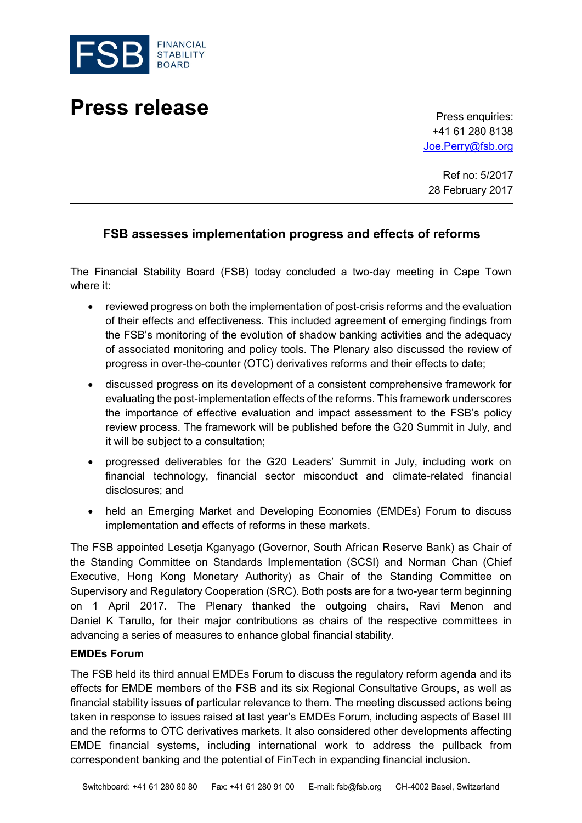

# **Press release** Press enquiries:

+41 61 280 8138 [Joe.Perry@fsb.org](mailto:Joe.Perry@fsb.org)

Ref no: 5/2017 28 February 2017

## **FSB assesses implementation progress and effects of reforms**

The Financial Stability Board (FSB) today concluded a two-day meeting in Cape Town where it:

- reviewed progress on both the implementation of post-crisis reforms and the evaluation of their effects and effectiveness. This included agreement of emerging findings from the FSB's monitoring of the evolution of shadow banking activities and the adequacy of associated monitoring and policy tools. The Plenary also discussed the review of progress in over-the-counter (OTC) derivatives reforms and their effects to date;
- discussed progress on its development of a consistent comprehensive framework for evaluating the post-implementation effects of the reforms. This framework underscores the importance of effective evaluation and impact assessment to the FSB's policy review process. The framework will be published before the G20 Summit in July, and it will be subject to a consultation;
- progressed deliverables for the G20 Leaders' Summit in July, including work on financial technology, financial sector misconduct and climate-related financial disclosures; and
- held an Emerging Market and Developing Economies (EMDEs) Forum to discuss implementation and effects of reforms in these markets.

The FSB appointed Lesetja Kganyago (Governor, South African Reserve Bank) as Chair of the Standing Committee on Standards Implementation (SCSI) and Norman Chan (Chief Executive, Hong Kong Monetary Authority) as Chair of the Standing Committee on Supervisory and Regulatory Cooperation (SRC). Both posts are for a two-year term beginning on 1 April 2017. The Plenary thanked the outgoing chairs, Ravi Menon and Daniel K Tarullo, for their major contributions as chairs of the respective committees in advancing a series of measures to enhance global financial stability.

#### **EMDEs Forum**

The FSB held its third annual EMDEs Forum to discuss the regulatory reform agenda and its effects for EMDE members of the FSB and its six Regional Consultative Groups, as well as financial stability issues of particular relevance to them. The meeting discussed actions being taken in response to issues raised at last year's EMDEs Forum, including aspects of Basel III and the reforms to OTC derivatives markets. It also considered other developments affecting EMDE financial systems, including international work to address the pullback from correspondent banking and the potential of FinTech in expanding financial inclusion.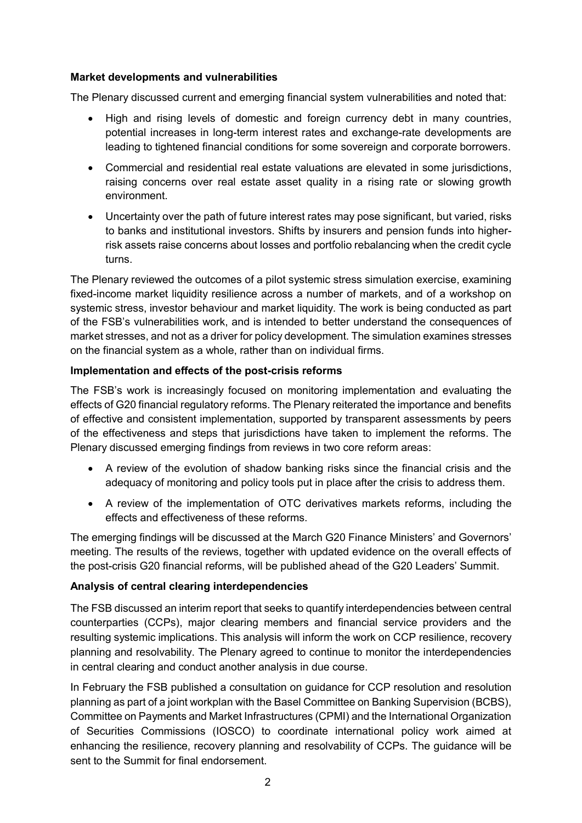#### **Market developments and vulnerabilities**

The Plenary discussed current and emerging financial system vulnerabilities and noted that:

- High and rising levels of domestic and foreign currency debt in many countries, potential increases in long-term interest rates and exchange-rate developments are leading to tightened financial conditions for some sovereign and corporate borrowers.
- Commercial and residential real estate valuations are elevated in some jurisdictions, raising concerns over real estate asset quality in a rising rate or slowing growth environment.
- Uncertainty over the path of future interest rates may pose significant, but varied, risks to banks and institutional investors. Shifts by insurers and pension funds into higherrisk assets raise concerns about losses and portfolio rebalancing when the credit cycle turns.

The Plenary reviewed the outcomes of a pilot systemic stress simulation exercise, examining fixed-income market liquidity resilience across a number of markets, and of a workshop on systemic stress, investor behaviour and market liquidity. The work is being conducted as part of the FSB's vulnerabilities work, and is intended to better understand the consequences of market stresses, and not as a driver for policy development. The simulation examines stresses on the financial system as a whole, rather than on individual firms.

### **Implementation and effects of the post-crisis reforms**

The FSB's work is increasingly focused on monitoring implementation and evaluating the effects of G20 financial regulatory reforms. The Plenary reiterated the importance and benefits of effective and consistent implementation, supported by transparent assessments by peers of the effectiveness and steps that jurisdictions have taken to implement the reforms. The Plenary discussed emerging findings from reviews in two core reform areas:

- A review of the evolution of shadow banking risks since the financial crisis and the adequacy of monitoring and policy tools put in place after the crisis to address them.
- A review of the implementation of OTC derivatives markets reforms, including the effects and effectiveness of these reforms.

The emerging findings will be discussed at the March G20 Finance Ministers' and Governors' meeting. The results of the reviews, together with updated evidence on the overall effects of the post-crisis G20 financial reforms, will be published ahead of the G20 Leaders' Summit.

### **Analysis of central clearing interdependencies**

The FSB discussed an interim report that seeks to quantify interdependencies between central counterparties (CCPs), major clearing members and financial service providers and the resulting systemic implications. This analysis will inform the work on CCP resilience, recovery planning and resolvability. The Plenary agreed to continue to monitor the interdependencies in central clearing and conduct another analysis in due course.

In February the FSB published a consultation on guidance for CCP resolution and resolution planning as part of a joint workplan with the Basel Committee on Banking Supervision (BCBS), Committee on Payments and Market Infrastructures (CPMI) and the International Organization of Securities Commissions (IOSCO) to coordinate international policy work aimed at enhancing the resilience, recovery planning and resolvability of CCPs. The guidance will be sent to the Summit for final endorsement.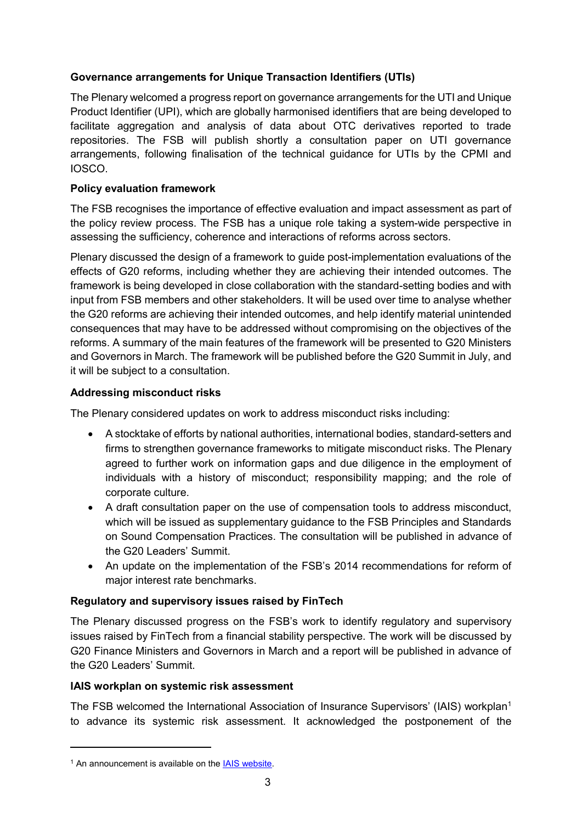## **Governance arrangements for Unique Transaction Identifiers (UTIs)**

The Plenary welcomed a progress report on governance arrangements for the UTI and Unique Product Identifier (UPI), which are globally harmonised identifiers that are being developed to facilitate aggregation and analysis of data about OTC derivatives reported to trade repositories. The FSB will publish shortly a consultation paper on UTI governance arrangements, following finalisation of the technical guidance for UTIs by the CPMI and IOSCO.

### **Policy evaluation framework**

The FSB recognises the importance of effective evaluation and impact assessment as part of the policy review process. The FSB has a unique role taking a system-wide perspective in assessing the sufficiency, coherence and interactions of reforms across sectors.

Plenary discussed the design of a framework to guide post-implementation evaluations of the effects of G20 reforms, including whether they are achieving their intended outcomes. The framework is being developed in close collaboration with the standard-setting bodies and with input from FSB members and other stakeholders. It will be used over time to analyse whether the G20 reforms are achieving their intended outcomes, and help identify material unintended consequences that may have to be addressed without compromising on the objectives of the reforms. A summary of the main features of the framework will be presented to G20 Ministers and Governors in March. The framework will be published before the G20 Summit in July, and it will be subject to a consultation.

### **Addressing misconduct risks**

The Plenary considered updates on work to address misconduct risks including:

- A stocktake of efforts by national authorities, international bodies, standard-setters and firms to strengthen governance frameworks to mitigate misconduct risks. The Plenary agreed to further work on information gaps and due diligence in the employment of individuals with a history of misconduct; responsibility mapping; and the role of corporate culture.
- A draft consultation paper on the use of compensation tools to address misconduct, which will be issued as supplementary guidance to the FSB Principles and Standards on Sound Compensation Practices. The consultation will be published in advance of the G20 Leaders' Summit.
- An update on the implementation of the FSB's 2014 recommendations for reform of major interest rate benchmarks.

### **Regulatory and supervisory issues raised by FinTech**

The Plenary discussed progress on the FSB's work to identify regulatory and supervisory issues raised by FinTech from a financial stability perspective. The work will be discussed by G20 Finance Ministers and Governors in March and a report will be published in advance of the G20 Leaders' Summit.

#### **IAIS workplan on systemic risk assessment**

The FSB welcomed the International Association of Insurance Supervisors' (IAIS) workplan<sup>1</sup> to advance its systemic risk assessment. It acknowledged the postponement of the

-

<sup>&</sup>lt;sup>1</sup> An announcement is available on the [IAIS website.](http://www.iaisweb.org/page/news/press-releases)